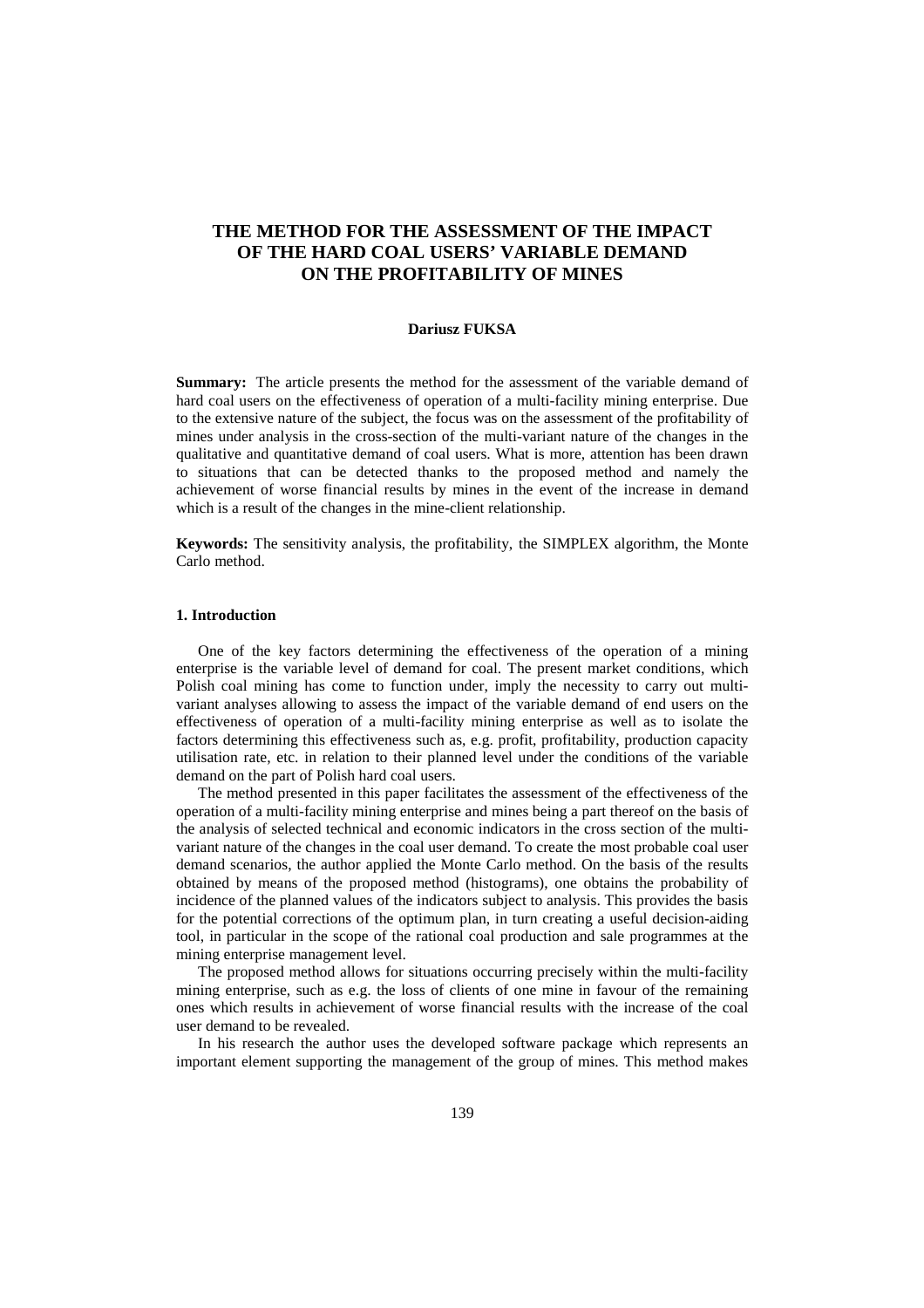# **THE METHOD FOR THE ASSESSMENT OF THE IMPACT OF THE HARD COAL USERS' VARIABLE DEMAND ON THE PROFITABILITY OF MINES**

### **Dariusz FUKSA**

**Summary:** The article presents the method for the assessment of the variable demand of hard coal users on the effectiveness of operation of a multi-facility mining enterprise. Due to the extensive nature of the subject, the focus was on the assessment of the profitability of mines under analysis in the cross-section of the multi-variant nature of the changes in the qualitative and quantitative demand of coal users. What is more, attention has been drawn to situations that can be detected thanks to the proposed method and namely the achievement of worse financial results by mines in the event of the increase in demand which is a result of the changes in the mine-client relationship.

**Keywords:** The sensitivity analysis, the profitability, the SIMPLEX algorithm, the Monte Carlo method.

### **1. Introduction**

One of the key factors determining the effectiveness of the operation of a mining enterprise is the variable level of demand for coal. The present market conditions, which Polish coal mining has come to function under, imply the necessity to carry out multivariant analyses allowing to assess the impact of the variable demand of end users on the effectiveness of operation of a multi-facility mining enterprise as well as to isolate the factors determining this effectiveness such as, e.g. profit, profitability, production capacity utilisation rate, etc. in relation to their planned level under the conditions of the variable demand on the part of Polish hard coal users.

The method presented in this paper facilitates the assessment of the effectiveness of the operation of a multi-facility mining enterprise and mines being a part thereof on the basis of the analysis of selected technical and economic indicators in the cross section of the multivariant nature of the changes in the coal user demand. To create the most probable coal user demand scenarios, the author applied the Monte Carlo method. On the basis of the results obtained by means of the proposed method (histograms), one obtains the probability of incidence of the planned values of the indicators subject to analysis. This provides the basis for the potential corrections of the optimum plan, in turn creating a useful decision-aiding tool, in particular in the scope of the rational coal production and sale programmes at the mining enterprise management level.

The proposed method allows for situations occurring precisely within the multi-facility mining enterprise, such as e.g. the loss of clients of one mine in favour of the remaining ones which results in achievement of worse financial results with the increase of the coal user demand to be revealed.

In his research the author uses the developed software package which represents an important element supporting the management of the group of mines. This method makes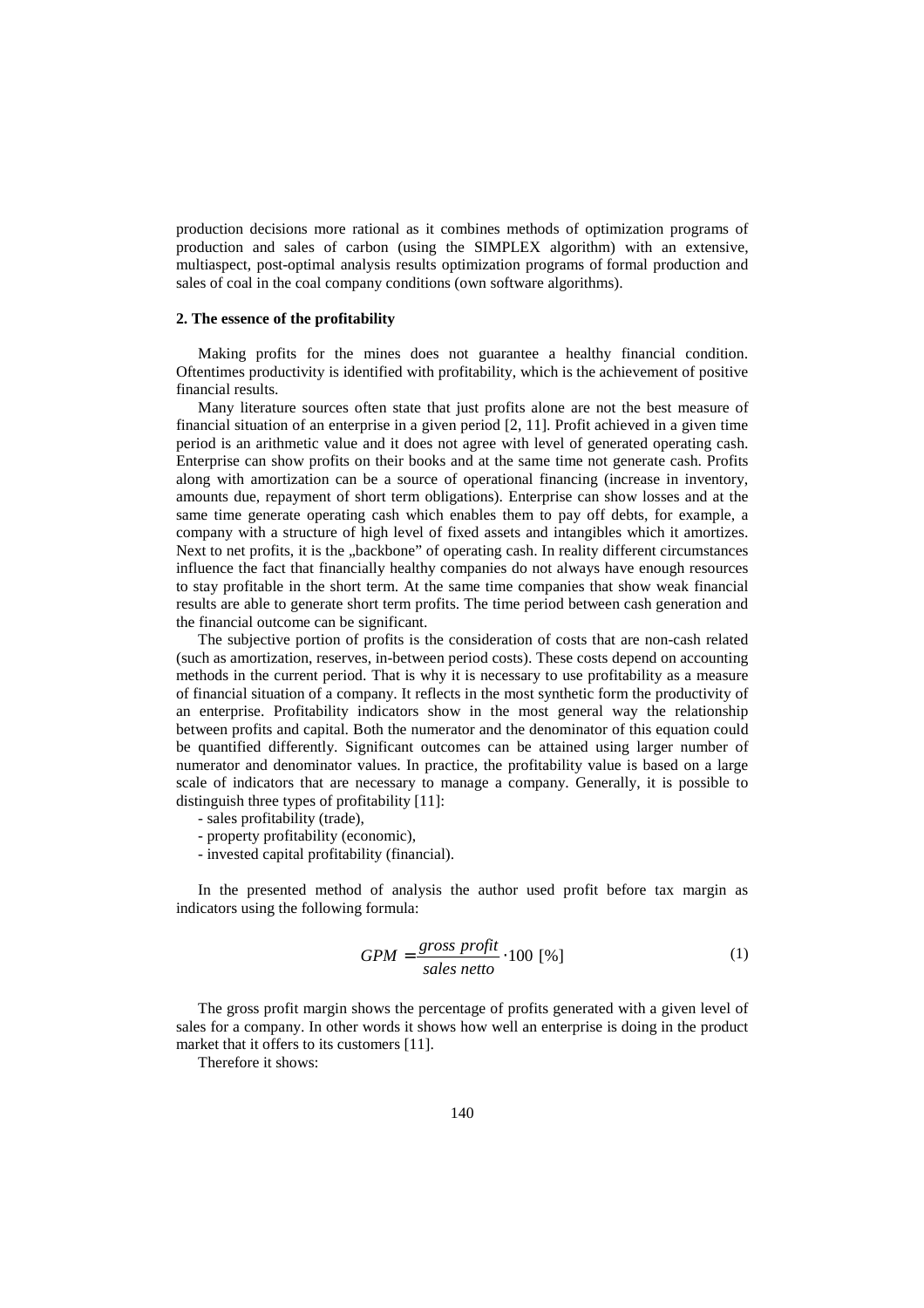production decisions more rational as it combines methods of optimization programs of production and sales of carbon (using the SIMPLEX algorithm) with an extensive, multiaspect, post-optimal analysis results optimization programs of formal production and sales of coal in the coal company conditions (own software algorithms).

# **2. The essence of the profitability**

Making profits for the mines does not guarantee a healthy financial condition. Oftentimes productivity is identified with profitability, which is the achievement of positive financial results.

Many literature sources often state that just profits alone are not the best measure of financial situation of an enterprise in a given period [2, 11]. Profit achieved in a given time period is an arithmetic value and it does not agree with level of generated operating cash. Enterprise can show profits on their books and at the same time not generate cash. Profits along with amortization can be a source of operational financing (increase in inventory, amounts due, repayment of short term obligations). Enterprise can show losses and at the same time generate operating cash which enables them to pay off debts, for example, a company with a structure of high level of fixed assets and intangibles which it amortizes. Next to net profits, it is the "backbone" of operating cash. In reality different circumstances influence the fact that financially healthy companies do not always have enough resources to stay profitable in the short term. At the same time companies that show weak financial results are able to generate short term profits. The time period between cash generation and the financial outcome can be significant.

The subjective portion of profits is the consideration of costs that are non-cash related (such as amortization, reserves, in-between period costs). These costs depend on accounting methods in the current period. That is why it is necessary to use profitability as a measure of financial situation of a company. It reflects in the most synthetic form the productivity of an enterprise. Profitability indicators show in the most general way the relationship between profits and capital. Both the numerator and the denominator of this equation could be quantified differently. Significant outcomes can be attained using larger number of numerator and denominator values. In practice, the profitability value is based on a large scale of indicators that are necessary to manage a company. Generally, it is possible to distinguish three types of profitability [11]:

- sales profitability (trade),
- property profitability (economic),
- invested capital profitability (financial).

In the presented method of analysis the author used profit before tax margin as indicators using the following formula:

$$
GPM = \frac{gross\ profit}{sales\ netto} \cdot 100\ [%]
$$
 (1)

The gross profit margin shows the percentage of profits generated with a given level of sales for a company. In other words it shows how well an enterprise is doing in the product market that it offers to its customers [11].

Therefore it shows: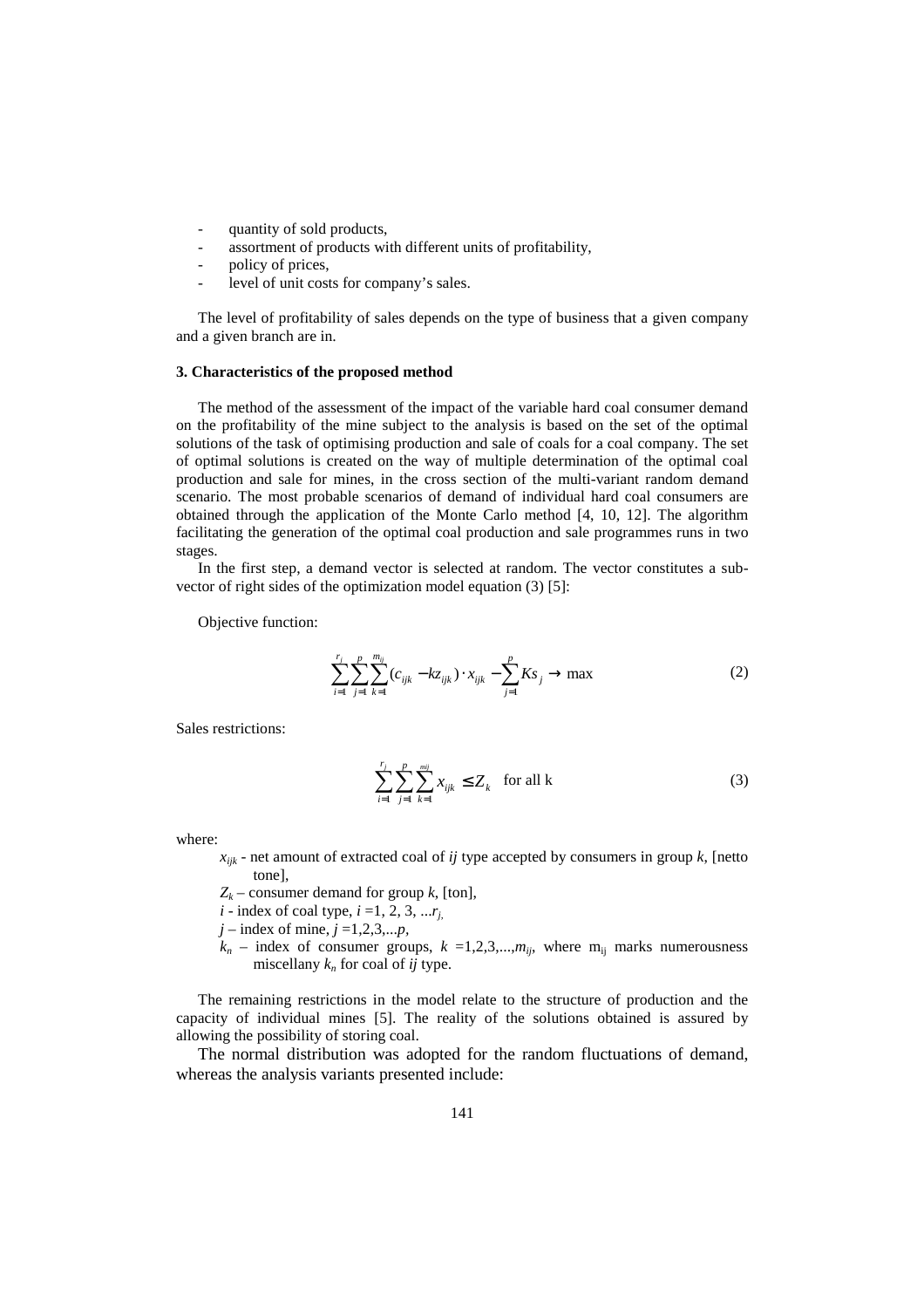- quantity of sold products,
- assortment of products with different units of profitability,
- policy of prices,
- level of unit costs for company's sales.

The level of profitability of sales depends on the type of business that a given company and a given branch are in.

## **3. Characteristics of the proposed method**

The method of the assessment of the impact of the variable hard coal consumer demand on the profitability of the mine subject to the analysis is based on the set of the optimal solutions of the task of optimising production and sale of coals for a coal company. The set of optimal solutions is created on the way of multiple determination of the optimal coal production and sale for mines, in the cross section of the multi-variant random demand scenario. The most probable scenarios of demand of individual hard coal consumers are obtained through the application of the Monte Carlo method [4, 10, 12]. The algorithm facilitating the generation of the optimal coal production and sale programmes runs in two stages.

In the first step, a demand vector is selected at random. The vector constitutes a subvector of right sides of the optimization model equation (3) [5]:

Objective function:

$$
\sum_{i=1}^{r_j} \sum_{j=1}^{p} \sum_{k=1}^{m_{ij}} (c_{ijk} - kz_{ijk}) \cdot x_{ijk} - \sum_{j=1}^{p} K s_j \to \max
$$
 (2)

Sales restrictions:

$$
\sum_{i=1}^{r_j} \sum_{j=1}^{p} \sum_{k=1}^{mij} x_{ijk} \le Z_k \quad \text{for all k} \tag{3}
$$

where:

- $x_{ijk}$  net amount of extracted coal of *ij* type accepted by consumers in group  $k$ , [netto tone],
- *Zk* – consumer demand for group *k*, [ton],
- *i* index of coal type,  $i = 1, 2, 3, \ldots r_i$
- $j$  index of mine,  $j = 1, 2, 3, \dots, p$ ,
- $k_n$  index of consumer groups,  $k = 1,2,3,...,m$ *ij*, where m<sub>ij</sub> marks numerousness miscellany *kn* for coal of *ij* type.

The remaining restrictions in the model relate to the structure of production and the capacity of individual mines [5]. The reality of the solutions obtained is assured by allowing the possibility of storing coal.

The normal distribution was adopted for the random fluctuations of demand, whereas the analysis variants presented include: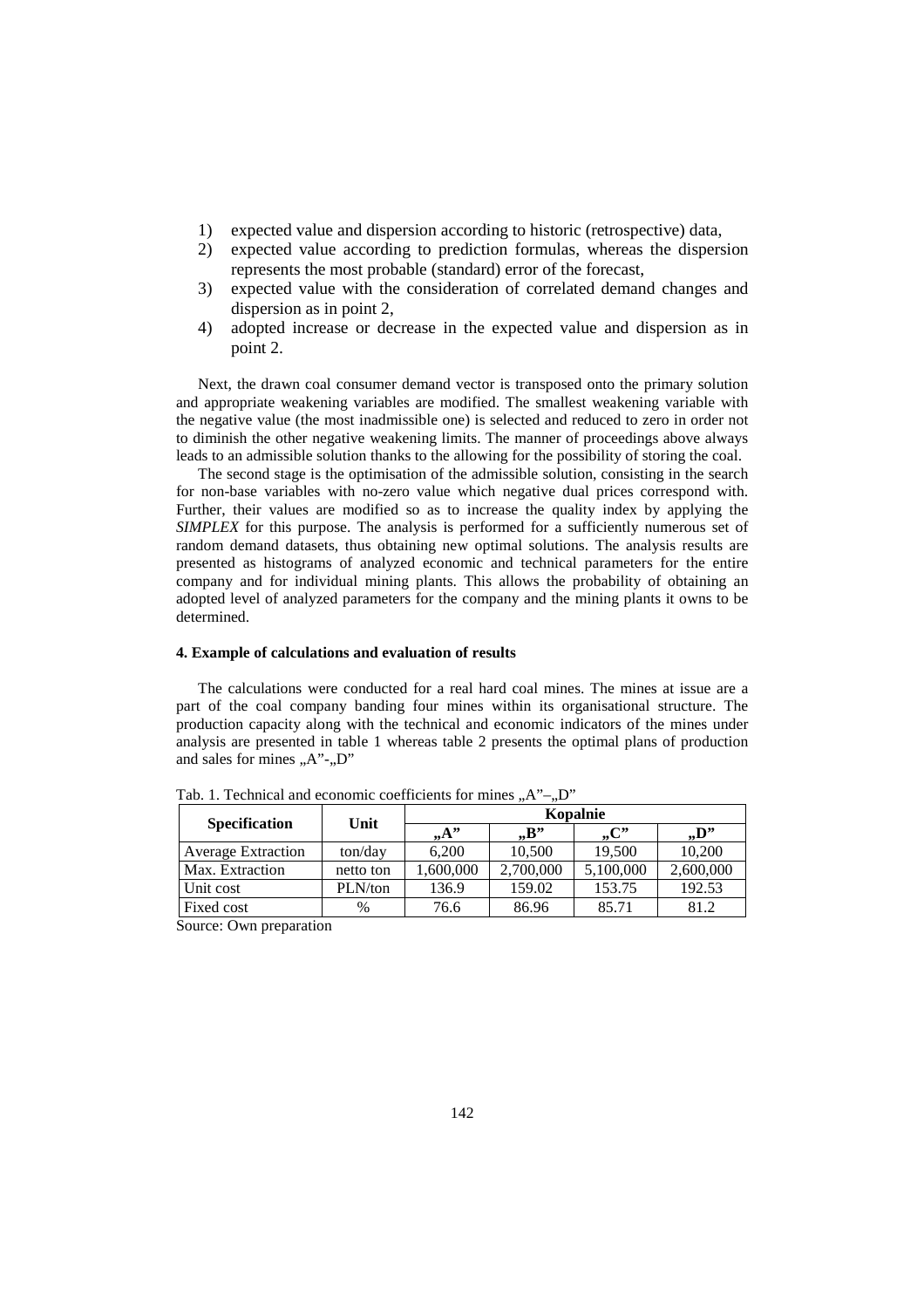- 1) expected value and dispersion according to historic (retrospective) data,
- 2) expected value according to prediction formulas, whereas the dispersion represents the most probable (standard) error of the forecast,
- 3) expected value with the consideration of correlated demand changes and dispersion as in point 2,
- 4) adopted increase or decrease in the expected value and dispersion as in point 2.

Next, the drawn coal consumer demand vector is transposed onto the primary solution and appropriate weakening variables are modified. The smallest weakening variable with the negative value (the most inadmissible one) is selected and reduced to zero in order not to diminish the other negative weakening limits. The manner of proceedings above always leads to an admissible solution thanks to the allowing for the possibility of storing the coal.

The second stage is the optimisation of the admissible solution, consisting in the search for non-base variables with no-zero value which negative dual prices correspond with. Further, their values are modified so as to increase the quality index by applying the *SIMPLEX* for this purpose. The analysis is performed for a sufficiently numerous set of random demand datasets, thus obtaining new optimal solutions. The analysis results are presented as histograms of analyzed economic and technical parameters for the entire company and for individual mining plants. This allows the probability of obtaining an adopted level of analyzed parameters for the company and the mining plants it owns to be determined.

# **4. Example of calculations and evaluation of results**

The calculations were conducted for a real hard coal mines. The mines at issue are a part of the coal company banding four mines within its organisational structure. The production capacity along with the technical and economic indicators of the mines under analysis are presented in table 1 whereas table 2 presents the optimal plans of production and sales for mines  $, A$ "- $, D$ "

| <b>Specification</b>      | Unit      | Kopalnie |           |           |           |  |  |  |
|---------------------------|-----------|----------|-----------|-----------|-----------|--|--|--|
|                           |           | $, A$ "  | , B       | , C       | , D       |  |  |  |
| <b>Average Extraction</b> | ton/day   | 6.200    | 10.500    | 19,500    | 10,200    |  |  |  |
| Max. Extraction           | netto ton | .600,000 | 2,700,000 | 5,100,000 | 2,600,000 |  |  |  |
| Unit cost                 | PLN/ton   | 136.9    | 159.02    | 153.75    | 192.53    |  |  |  |
| Fixed cost                | $\%$      | 76.6     | 86.96     | 85.71     | 81.2      |  |  |  |

Tab. 1. Technical and economic coefficients for mines  $, A^{\prime\prime}-, D^{\prime\prime}$ 

Source: Own preparation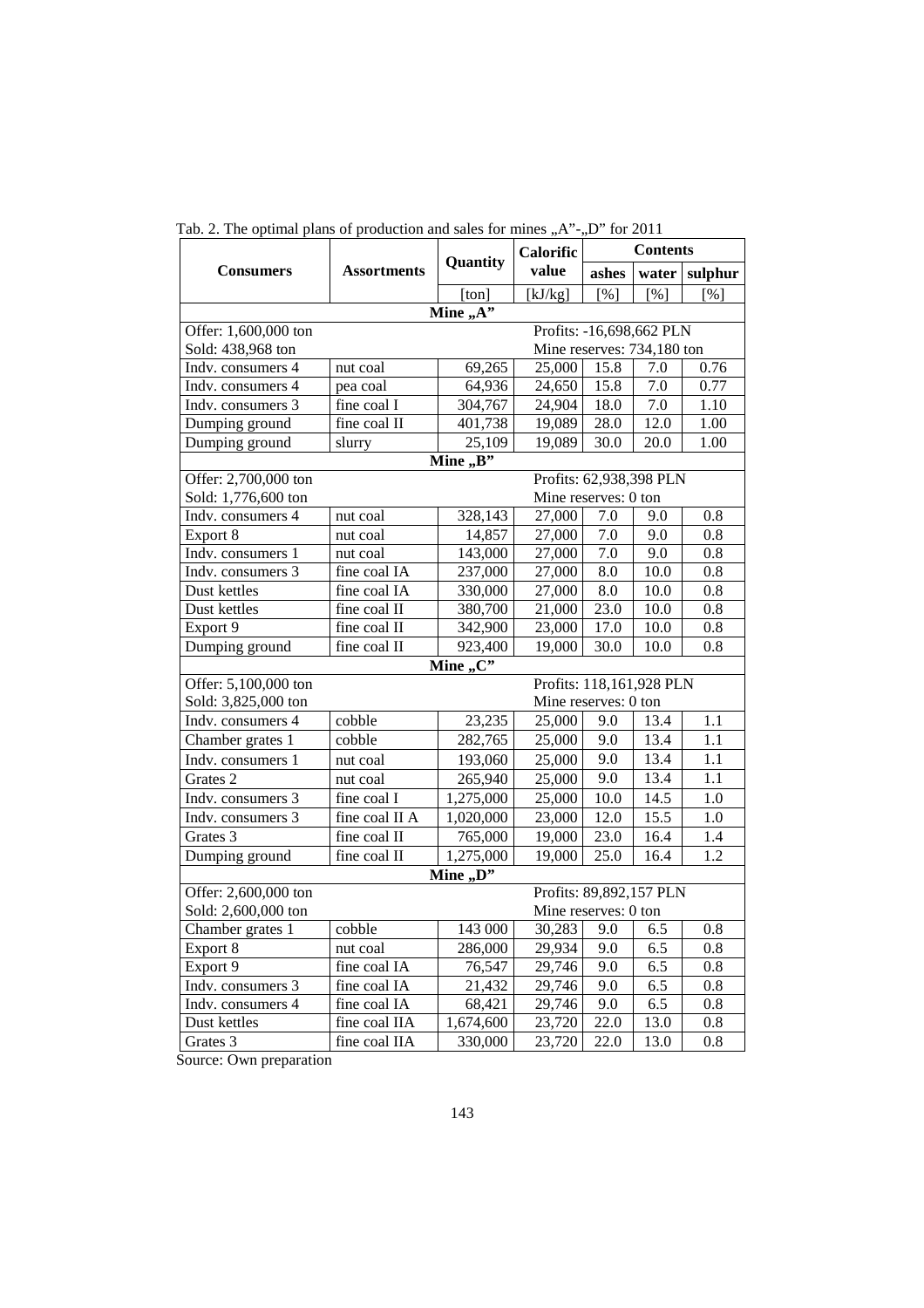|                                                  |                    |                      | <b>Calorific</b>        | <b>Contents</b> |       |          |  |  |  |
|--------------------------------------------------|--------------------|----------------------|-------------------------|-----------------|-------|----------|--|--|--|
| <b>Consumers</b>                                 | <b>Assortments</b> | Quantity             | value                   | ashes           | water | sulphur  |  |  |  |
|                                                  |                    | [ton]                | [kJ/kg]                 | [%]             | [%]   | [%]      |  |  |  |
| Mine $, A$ "                                     |                    |                      |                         |                 |       |          |  |  |  |
| Profits: -16,698,662 PLN<br>Offer: 1,600,000 ton |                    |                      |                         |                 |       |          |  |  |  |
| Sold: 438,968 ton<br>Mine reserves: 734,180 ton  |                    |                      |                         |                 |       |          |  |  |  |
| Indv. consumers 4                                | nut coal           | 69,265               | 25,000                  | 15.8            | 7.0   | 0.76     |  |  |  |
| Indv. consumers 4                                | pea coal           | 64,936               | 24,650                  | 15.8            | 7.0   | 0.77     |  |  |  |
| Indv. consumers 3                                | fine coal I        | 304,767              | 24,904                  | 18.0            | 7.0   | 1.10     |  |  |  |
| Dumping ground                                   | fine coal II       | 401,738              | 19,089                  | 28.0            | 12.0  | $1.00\,$ |  |  |  |
| Dumping ground                                   | slurry             | 25,109               | 19,089                  | 30.0            | 20.0  | 1.00     |  |  |  |
|                                                  |                    | Mine $,B$ "          |                         |                 |       |          |  |  |  |
| Offer: 2,700,000 ton                             |                    |                      | Profits: 62,938,398 PLN |                 |       |          |  |  |  |
| Sold: 1,776,600 ton                              |                    |                      | Mine reserves: 0 ton    |                 |       |          |  |  |  |
| Indv. consumers 4                                | nut coal           | 328,143              | 27,000                  | 7.0             | 9.0   | 0.8      |  |  |  |
| Export 8                                         | nut coal           | 14,857               | 27,000                  | 7.0             | 9.0   | 0.8      |  |  |  |
| Indv. consumers 1                                | nut coal           | 143,000              | 27,000                  | 7.0             | 9.0   | 0.8      |  |  |  |
| Indv. consumers 3                                | fine coal IA       | 237,000              | 27,000                  | 8.0             | 10.0  | 0.8      |  |  |  |
| Dust kettles                                     | fine coal IA       | 330,000              | 27,000                  | 8.0             | 10.0  | 0.8      |  |  |  |
| Dust kettles                                     | fine coal II       | 380,700              | 21,000                  | 23.0            | 10.0  | 0.8      |  |  |  |
| Export 9                                         | fine coal II       | 342,900              | 23,000                  | 17.0            | 10.0  | 0.8      |  |  |  |
| Dumping ground                                   | fine coal II       | 923,400              | 19,000                  | 30.0            | 10.0  | 0.8      |  |  |  |
| Mine $,C$                                        |                    |                      |                         |                 |       |          |  |  |  |
| Profits: 118,161,928 PLN<br>Offer: 5,100,000 ton |                    |                      |                         |                 |       |          |  |  |  |
| Sold: 3,825,000 ton                              |                    | Mine reserves: 0 ton |                         |                 |       |          |  |  |  |
| Indv. consumers 4                                | cobble             | 23,235               | 25,000                  | 9.0             | 13.4  | 1.1      |  |  |  |
| Chamber grates 1                                 | cobble             | 282,765              | 25,000                  | 9.0             | 13.4  | 1.1      |  |  |  |
| Indv. consumers 1                                | nut coal           | 193,060              | 25,000                  | 9.0             | 13.4  | 1.1      |  |  |  |
| Grates 2                                         | nut coal           | 265,940              | 25,000                  | 9.0             | 13.4  | 1.1      |  |  |  |
| Indv. consumers 3                                | fine coal I        | 1,275,000            | 25,000                  | 10.0            | 14.5  | 1.0      |  |  |  |
| Indv. consumers 3                                | fine coal II A     | 1,020,000            | 23,000                  | 12.0            | 15.5  | 1.0      |  |  |  |
| Grates 3                                         | fine coal II       | 765,000              | 19,000                  | 23.0            | 16.4  | 1.4      |  |  |  |
| Dumping ground                                   | fine coal II       | 1,275,000            | 19,000                  | 25.0            | 16.4  | 1.2      |  |  |  |
|                                                  |                    | Mine "D"             |                         |                 |       |          |  |  |  |
| Offer: 2,600,000 ton                             |                    |                      | Profits: 89,892,157 PLN |                 |       |          |  |  |  |
| Sold: 2,600,000 ton<br>Mine reserves: 0 ton      |                    |                      |                         |                 |       |          |  |  |  |
| Chamber grates 1                                 | cobble             | 143 000              | 30,283                  | 9.0             | 6.5   | 0.8      |  |  |  |
| Export 8                                         | nut coal           | 286,000              | 29,934                  | 9.0             | 6.5   | 0.8      |  |  |  |
| Export 9                                         | fine coal IA       | 76,547               | 29,746                  | 9.0             | 6.5   | 0.8      |  |  |  |
| Indv. consumers 3                                | fine coal IA       | 21,432               | 29,746                  | 9.0             | 6.5   | 0.8      |  |  |  |
| Indv. consumers 4                                | fine coal IA       | 68,421               | 29,746                  | 9.0             | 6.5   | 0.8      |  |  |  |
| Dust kettles                                     | fine coal IIA      | 1,674,600            | 23,720                  | 22.0            | 13.0  | 0.8      |  |  |  |
| Grates 3                                         | fine coal IIA      | 330,000              | 23,720                  | 22.0            | 13.0  | 0.8      |  |  |  |

Tab. 2. The optimal plans of production and sales for mines "A"-"D" for 2011

Source: Own preparation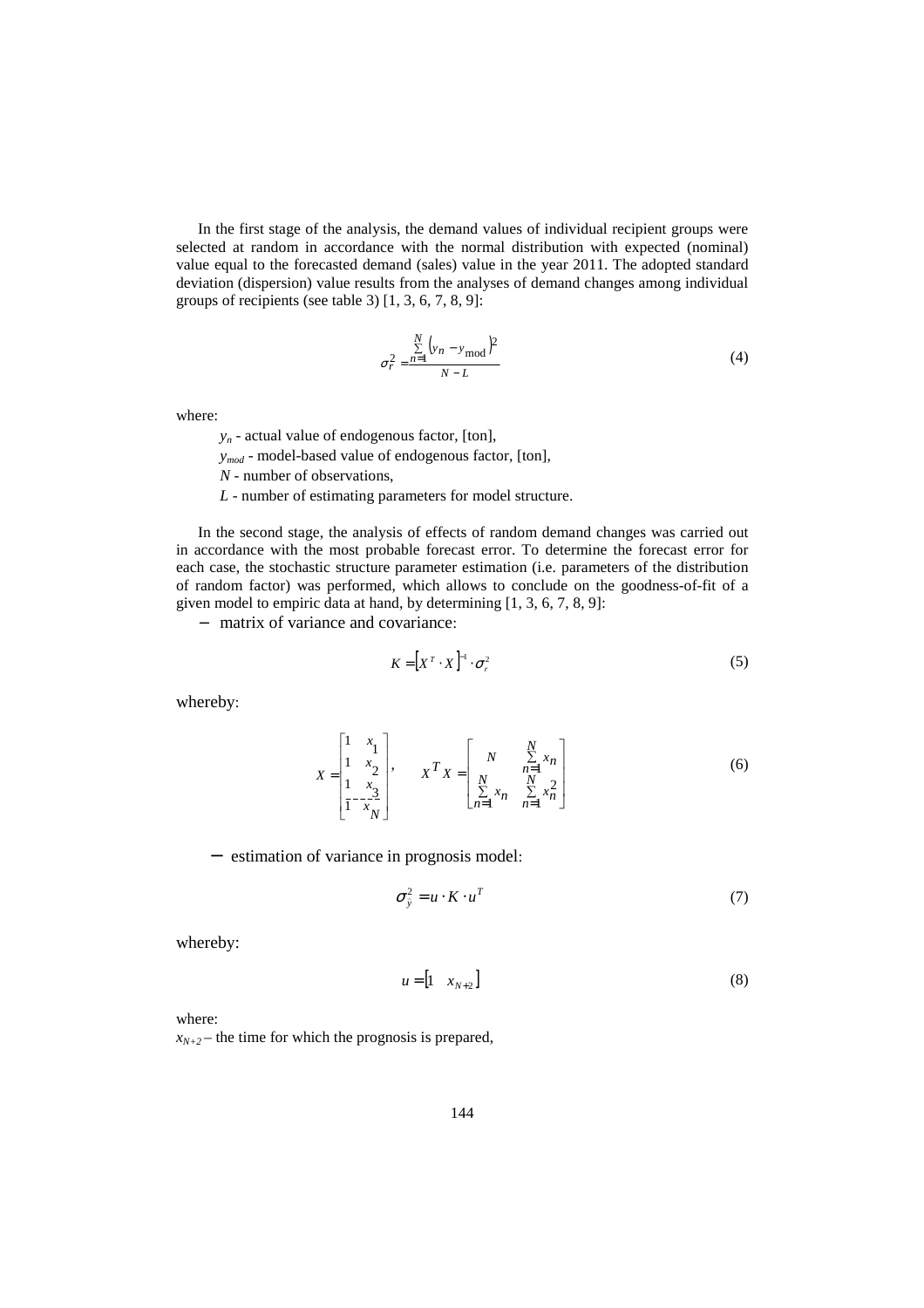In the first stage of the analysis, the demand values of individual recipient groups were selected at random in accordance with the normal distribution with expected (nominal) value equal to the forecasted demand (sales) value in the year 2011. The adopted standard deviation (dispersion) value results from the analyses of demand changes among individual groups of recipients (see table 3)  $[1, 3, 6, 7, 8, 9]$ :

$$
\sigma_r^2 = \frac{\sum_{n=1}^{N} (y_n - y_{\text{mod}})^2}{N - L}
$$
 (4)

where:

- *yn* actual value of endogenous factor, [ton],
- *ymod* model-based value of endogenous factor, [ton],
- *N* number of observations,
- *L* number of estimating parameters for model structure.

In the second stage, the analysis of effects of random demand changes was carried out in accordance with the most probable forecast error. To determine the forecast error for each case, the stochastic structure parameter estimation (i.e. parameters of the distribution of random factor) was performed, which allows to conclude on the goodness-of-fit of a given model to empiric data at hand, by determining [1, 3, 6, 7, 8, 9]:

− matrix of variance and covariance:

$$
K = \left[ X^T \cdot X \right]^{-1} \cdot \sigma_r^2 \tag{5}
$$

whereby:

$$
X = \begin{bmatrix} 1 & x_1 \\ 1 & x_2 \\ 1 & x_3 \\ 1 & -x_4 \end{bmatrix}, \qquad X^T X = \begin{bmatrix} N & \sum_{n=1}^{N} x_n \\ N & \sum_{n=1}^{N-1} x_n \\ \sum_{n=1}^{N} x_n & \sum_{n=1}^{N} x_n^2 \end{bmatrix}
$$
(6)

− estimation of variance in prognosis model:

$$
\sigma_{\hat{y}}^2 = u \cdot K \cdot u^T \tag{7}
$$

whereby:

$$
u = \begin{bmatrix} 1 & x_{N+2} \end{bmatrix} \tag{8}
$$

where:

 $x_{N+2}$  – the time for which the prognosis is prepared,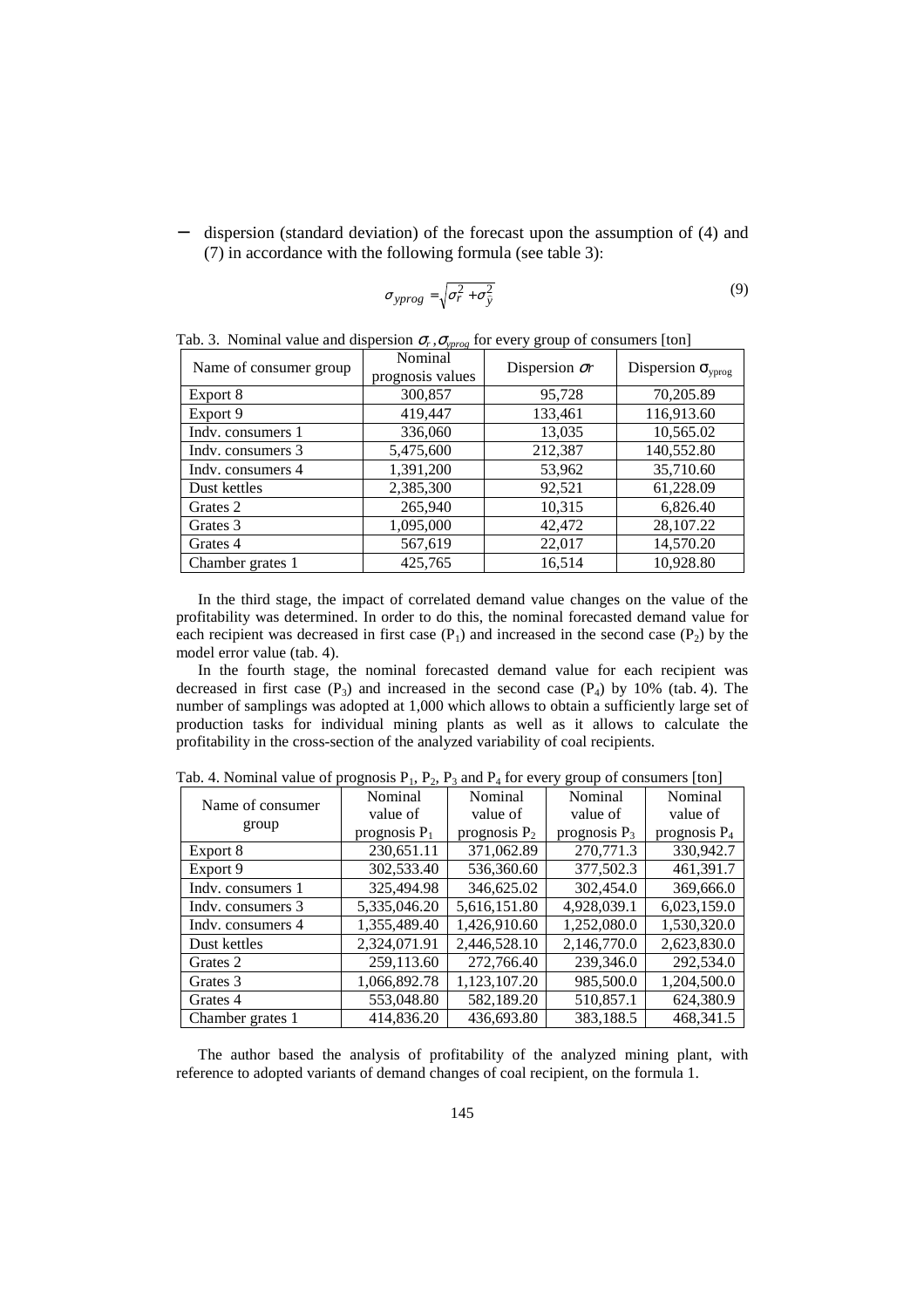− dispersion (standard deviation) of the forecast upon the assumption of (4) and (7) in accordance with the following formula (see table 3):

$$
\sigma_{\text{yprog}} = \sqrt{\sigma_r^2 + \sigma_{\hat{y}}^2}
$$
\n(9)

| Name of consumer group | $-1$ $\prime$ $ \gamma$ $\mu$ $\mu$ $\alpha$ $\chi$<br>Nominal | $\overline{J}$ . The set of $\overline{J}$<br>Dispersion $\sigma r$ | Dispersion $\sigma_{\text{yprog}}$ |  |
|------------------------|----------------------------------------------------------------|---------------------------------------------------------------------|------------------------------------|--|
|                        | prognosis values                                               |                                                                     |                                    |  |
| Export 8               | 300,857                                                        | 95,728                                                              | 70,205.89                          |  |
| Export 9               | 419,447                                                        | 133,461                                                             | 116,913.60                         |  |
| Indy, consumers 1      | 336,060                                                        | 13,035                                                              | 10,565.02                          |  |
| Indy. consumers 3      | 5,475,600                                                      | 212,387                                                             | 140,552.80                         |  |
| Indy. consumers 4      | 1,391,200                                                      | 53,962                                                              | 35,710.60                          |  |
| Dust kettles           | 2,385,300                                                      | 92,521                                                              | 61,228.09                          |  |
| Grates 2               | 265,940                                                        | 10,315                                                              | 6,826.40                           |  |
| Grates 3               | 1,095,000                                                      | 42,472                                                              | 28,107.22                          |  |
| Grates 4               | 567,619                                                        | 22,017                                                              | 14,570.20                          |  |
| Chamber grates 1       | 425,765                                                        | 16,514                                                              | 10,928.80                          |  |

Tab. 3. Nominal value and dispersion  $\sigma_r$ ,  $\sigma_{\text{v}}$  for every group of consumers [ton]

In the third stage, the impact of correlated demand value changes on the value of the profitability was determined. In order to do this, the nominal forecasted demand value for each recipient was decreased in first case  $(P_1)$  and increased in the second case  $(P_2)$  by the model error value (tab. 4).

In the fourth stage, the nominal forecasted demand value for each recipient was decreased in first case  $(P_3)$  and increased in the second case  $(P_4)$  by 10% (tab. 4). The number of samplings was adopted at 1,000 which allows to obtain a sufficiently large set of production tasks for individual mining plants as well as it allows to calculate the profitability in the cross-section of the analyzed variability of coal recipients.

| Name of consumer  | Nominal         | Nominal         | Nominal         | Nominal         |  |
|-------------------|-----------------|-----------------|-----------------|-----------------|--|
|                   | value of        | value of        | value of        | value of        |  |
| group             | prognosis $P_1$ | prognosis $P_2$ | prognosis $P_3$ | prognosis $P_4$ |  |
| Export 8          | 230,651.11      | 371,062.89      | 270,771.3       | 330,942.7       |  |
| Export 9          | 302,533.40      | 536,360.60      | 377,502.3       | 461,391.7       |  |
| Indy. consumers 1 | 325,494.98      | 346,625.02      | 302,454.0       | 369,666.0       |  |
| Indy. consumers 3 | 5,335,046.20    | 5,616,151.80    | 4,928,039.1     | 6,023,159.0     |  |
| Indy. consumers 4 | 1,355,489.40    | 1,426,910.60    | 1,252,080.0     | 1,530,320.0     |  |
| Dust kettles      | 2,324,071.91    | 2,446,528.10    | 2,146,770.0     | 2,623,830.0     |  |
| Grates 2          | 259,113.60      | 272,766.40      | 239,346.0       | 292,534.0       |  |
| Grates 3          | 1,066,892.78    | 1,123,107.20    | 985,500.0       | 1,204,500.0     |  |
| Grates 4          | 553,048.80      | 582,189.20      | 510,857.1       | 624,380.9       |  |
| Chamber grates 1  | 414,836.20      | 436,693.80      | 383,188.5       | 468.341.5       |  |

Tab. 4. Nominal value of prognosis P<sub>2</sub>, P<sub>2</sub>, and P<sub>4</sub> for every group of consumers  $[ton]$ 

The author based the analysis of profitability of the analyzed mining plant, with reference to adopted variants of demand changes of coal recipient, on the formula 1.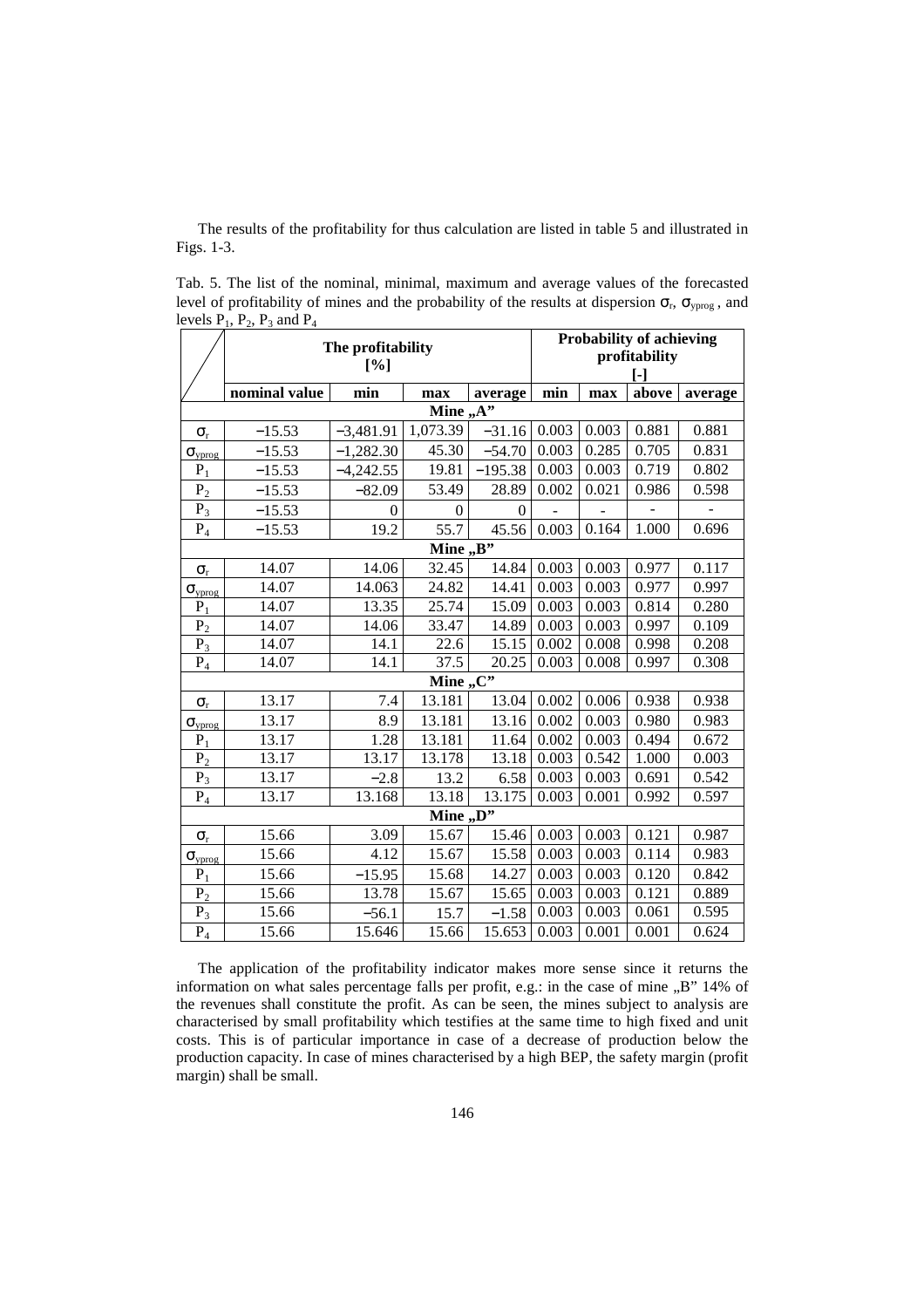The results of the profitability for thus calculation are listed in table 5 and illustrated in Figs. 1-3.

Tab. 5. The list of the nominal, minimal, maximum and average values of the forecasted level of profitability of mines and the probability of the results at dispersion  $\sigma_r$ ,  $\sigma_{\text{yprog}}$ , and levels  $P_1$ ,  $P_2$ ,  $P_3$  and  $P_4$ 

|                         | The profitability<br>[%] |             |                  | <b>Probability of achieving</b><br>profitability |       |       |       |         |
|-------------------------|--------------------------|-------------|------------------|--------------------------------------------------|-------|-------|-------|---------|
|                         |                          |             |                  | $\lbrack \cdot \rbrack$                          |       |       |       |         |
|                         | nominal value            | min         | max              | average                                          | min   | max   | above | average |
| Mine $, A$ <sup>"</sup> |                          |             |                  |                                                  |       |       |       |         |
| $\sigma_{\rm r}$        | $-15.53$                 | $-3,481.91$ | 1,073.39         | $-31.16$                                         | 0.003 | 0.003 | 0.881 | 0.881   |
| $\sigma_{\text{vprog}}$ | $-15.53$                 | $-1,282.30$ | 45.30            | $-54.70$                                         | 0.003 | 0.285 | 0.705 | 0.831   |
| $P_1$                   | $-15.53$                 | $-4,242.55$ | 19.81            | $-195.38$                                        | 0.003 | 0.003 | 0.719 | 0.802   |
| P <sub>2</sub>          | $-15.53$                 | $-82.09$    | 53.49            | 28.89                                            | 0.002 | 0.021 | 0.986 | 0.598   |
| $P_3$                   | $-15.53$                 | $\theta$    | $\boldsymbol{0}$ | $\theta$                                         |       |       |       |         |
| $\mathbf{P}_4$          | $-15.53$                 | 19.2        | 55.7             | 45.56                                            | 0.003 | 0.164 | 1.000 | 0.696   |
|                         |                          |             | Mine $,B$ "      |                                                  |       |       |       |         |
| $\sigma_{\rm r}$        | 14.07                    | 14.06       | 32.45            | 14.84                                            | 0.003 | 0.003 | 0.977 | 0.117   |
| $\sigma_{\text{vprog}}$ | 14.07                    | 14.063      | 24.82            | 14.41                                            | 0.003 | 0.003 | 0.977 | 0.997   |
| $P_1$                   | 14.07                    | 13.35       | 25.74            | 15.09                                            | 0.003 | 0.003 | 0.814 | 0.280   |
| P <sub>2</sub>          | 14.07                    | 14.06       | 33.47            | 14.89                                            | 0.003 | 0.003 | 0.997 | 0.109   |
| $P_3$                   | 14.07                    | 14.1        | 22.6             | 15.15                                            | 0.002 | 0.008 | 0.998 | 0.208   |
| $P_4$                   | 14.07                    | 14.1        | 37.5             | 20.25                                            | 0.003 | 0.008 | 0.997 | 0.308   |
|                         |                          |             | Mine ,, $C$ "    |                                                  |       |       |       |         |
| $\sigma_{\rm r}$        | 13.17                    | 7.4         | 13.181           | 13.04                                            | 0.002 | 0.006 | 0.938 | 0.938   |
| $\sigma_{\text{vprog}}$ | 13.17                    | 8.9         | 13.181           | 13.16                                            | 0.002 | 0.003 | 0.980 | 0.983   |
| $P_1$                   | 13.17                    | 1.28        | 13.181           | 11.64                                            | 0.002 | 0.003 | 0.494 | 0.672   |
| P <sub>2</sub>          | 13.17                    | 13.17       | 13.178           | 13.18                                            | 0.003 | 0.542 | 1.000 | 0.003   |
| $P_3$                   | 13.17                    | $-2.8$      | 13.2             | 6.58                                             | 0.003 | 0.003 | 0.691 | 0.542   |
| $\mathbf{P}_4$          | 13.17                    | 13.168      | 13.18            | 13.175                                           | 0.003 | 0.001 | 0.992 | 0.597   |
|                         |                          |             | Mine ,, $D$ "    |                                                  |       |       |       |         |
| $\sigma_{\rm r}$        | 15.66                    | 3.09        | 15.67            | 15.46                                            | 0.003 | 0.003 | 0.121 | 0.987   |
| $\sigma_{\text{vprog}}$ | 15.66                    | 4.12        | 15.67            | 15.58                                            | 0.003 | 0.003 | 0.114 | 0.983   |
| $P_1$                   | 15.66                    | $-15.95$    | 15.68            | 14.27                                            | 0.003 | 0.003 | 0.120 | 0.842   |
| P <sub>2</sub>          | 15.66                    | 13.78       | 15.67            | 15.65                                            | 0.003 | 0.003 | 0.121 | 0.889   |
| $P_3$                   | 15.66                    | $-56.1$     | 15.7             | $-1.58$                                          | 0.003 | 0.003 | 0.061 | 0.595   |
| $P_4$                   | 15.66                    | 15.646      | 15.66            | 15.653                                           | 0.003 | 0.001 | 0.001 | 0.624   |

The application of the profitability indicator makes more sense since it returns the information on what sales percentage falls per profit, e.g.: in the case of mine "B" 14% of the revenues shall constitute the profit. As can be seen, the mines subject to analysis are characterised by small profitability which testifies at the same time to high fixed and unit costs. This is of particular importance in case of a decrease of production below the production capacity. In case of mines characterised by a high BEP, the safety margin (profit margin) shall be small.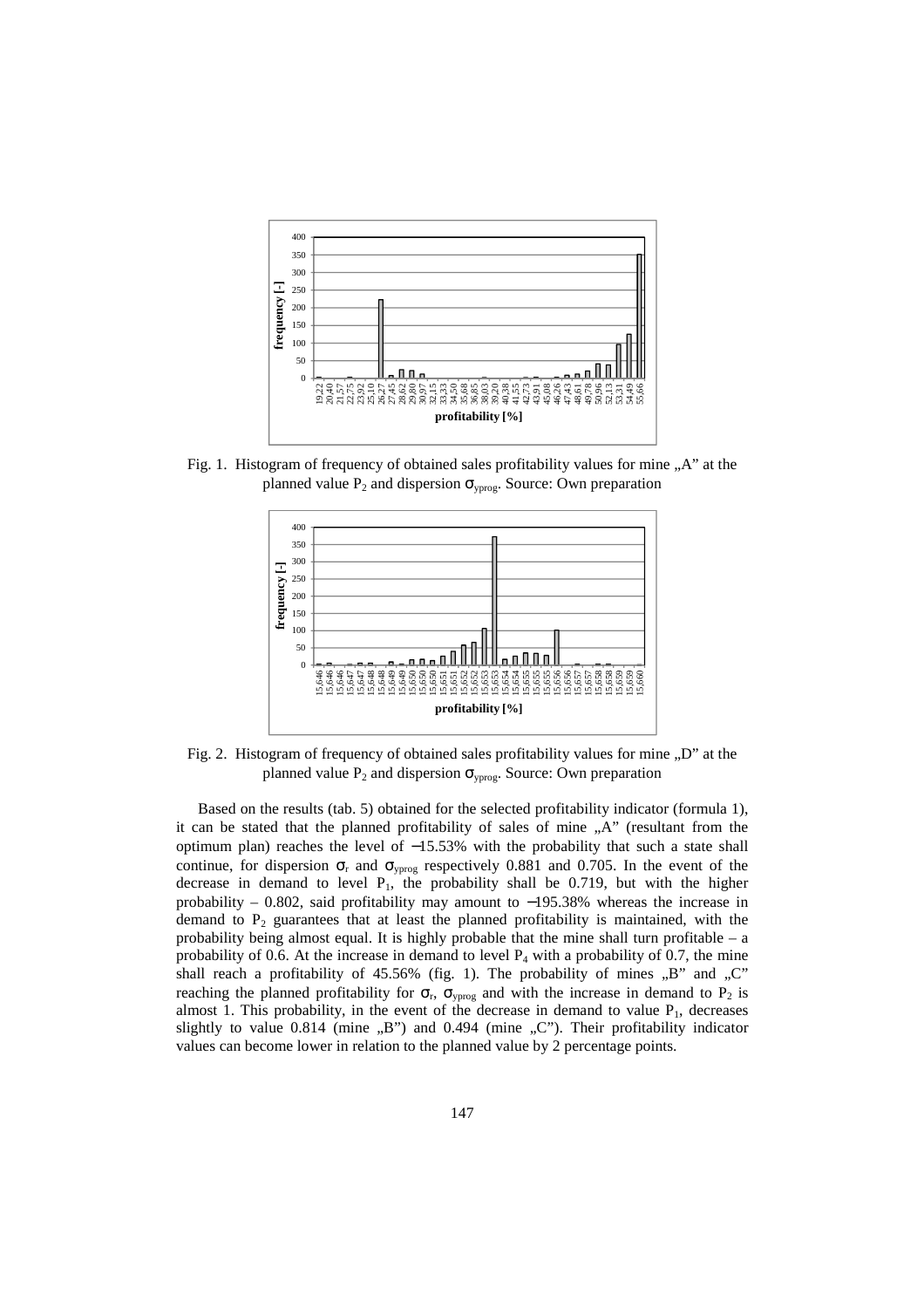

Fig. 1. Histogram of frequency of obtained sales profitability values for mine "A" at the planned value  $P_2$  and dispersion  $\sigma_{\text{vprog}}$ . Source: Own preparation



Fig. 2. Histogram of frequency of obtained sales profitability values for mine "D" at the planned value  $P_2$  and dispersion  $\sigma_{\text{yprog}}$ . Source: Own preparation

Based on the results (tab. 5) obtained for the selected profitability indicator (formula 1), it can be stated that the planned profitability of sales of mine "A" (resultant from the optimum plan) reaches the level of −15.53% with the probability that such a state shall continue, for dispersion  $\sigma_r$  and  $\sigma_{\text{yprog}}$  respectively 0.881 and 0.705. In the event of the decrease in demand to level  $P_1$ , the probability shall be 0.719, but with the higher probability – 0.802, said profitability may amount to −195.38% whereas the increase in demand to  $P_2$  guarantees that at least the planned profitability is maintained, with the probability being almost equal. It is highly probable that the mine shall turn profitable – a probability of 0.6. At the increase in demand to level  $P_4$  with a probability of 0.7, the mine shall reach a profitability of  $45.56\%$  (fig. 1). The probability of mines  $,B$ " and  $,C$ " reaching the planned profitability for  $\sigma_r$ ,  $\sigma_{\text{yprog}}$  and with the increase in demand to P<sub>2</sub> is almost 1. This probability, in the event of the decrease in demand to value  $P_1$ , decreases slightly to value  $0.814$  (mine  $\mu$ B") and  $0.494$  (mine  $\mu$ C"). Their profitability indicator values can become lower in relation to the planned value by 2 percentage points.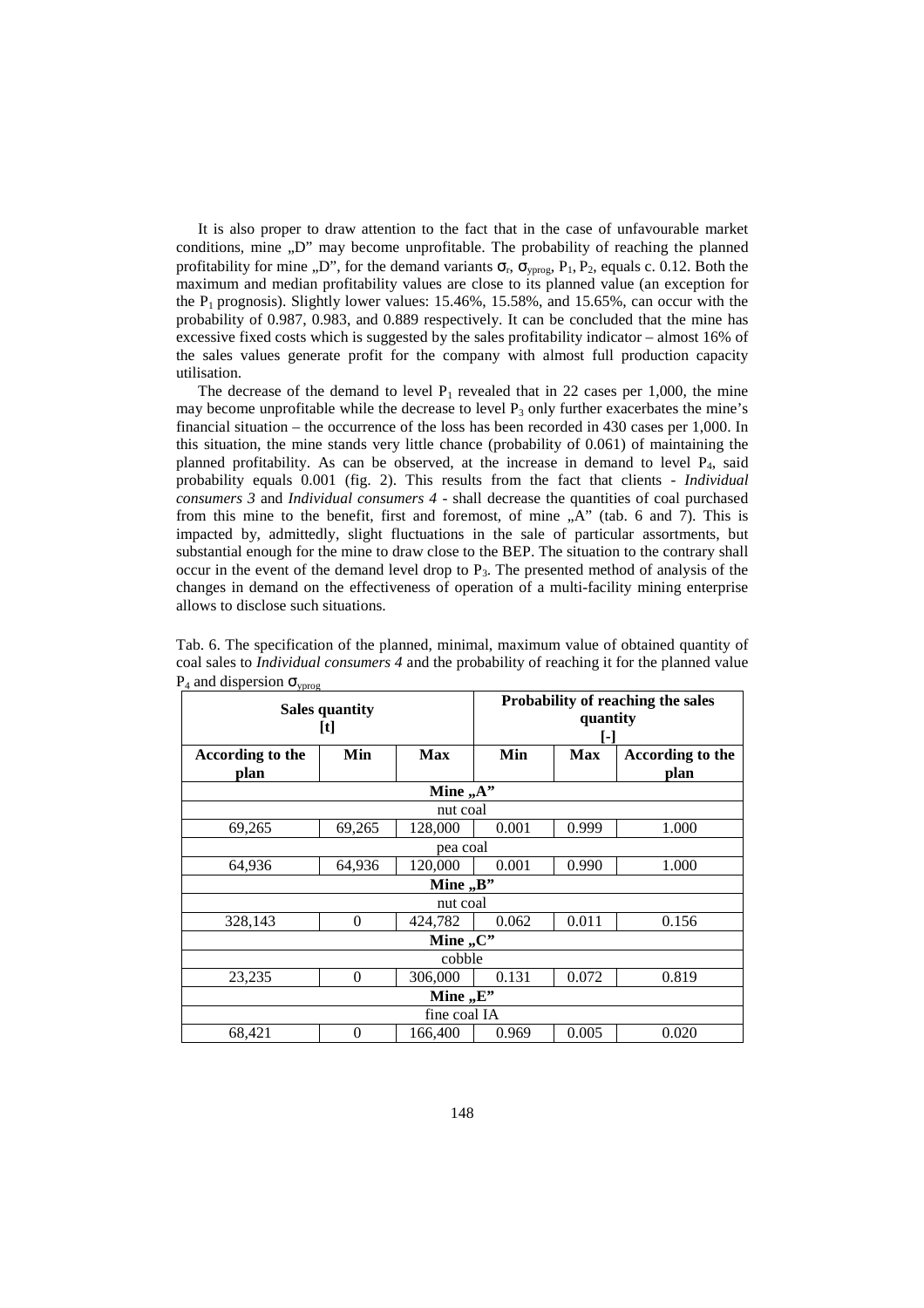It is also proper to draw attention to the fact that in the case of unfavourable market conditions, mine  $D''$  may become unprofitable. The probability of reaching the planned profitability for mine ,,D", for the demand variants  $\sigma_r$ ,  $\sigma_{\text{yprog}}$ ,  $P_1$ ,  $P_2$ , equals c. 0.12. Both the maximum and median profitability values are close to its planned value (an exception for the  $P_1$  prognosis). Slightly lower values: 15.46%, 15.58%, and 15.65%, can occur with the probability of 0.987, 0.983, and 0.889 respectively. It can be concluded that the mine has excessive fixed costs which is suggested by the sales profitability indicator – almost 16% of the sales values generate profit for the company with almost full production capacity utilisation.

The decrease of the demand to level  $P_1$  revealed that in 22 cases per 1,000, the mine may become unprofitable while the decrease to level  $P_3$  only further exacerbates the mine's financial situation – the occurrence of the loss has been recorded in 430 cases per 1,000. In this situation, the mine stands very little chance (probability of 0.061) of maintaining the planned profitability. As can be observed, at the increase in demand to level P4, said probability equals 0.001 (fig. 2). This results from the fact that clients - *Individual consumers 3* and *Individual consumers 4* - shall decrease the quantities of coal purchased from this mine to the benefit, first and foremost, of mine  $, A$ " (tab. 6 and 7). This is impacted by, admittedly, slight fluctuations in the sale of particular assortments, but substantial enough for the mine to draw close to the BEP. The situation to the contrary shall occur in the event of the demand level drop to  $P_3$ . The presented method of analysis of the changes in demand on the effectiveness of operation of a multi-facility mining enterprise allows to disclose such situations.

| ypiog<br><b>Sales quantity</b><br>[t] |           |               | Probability of reaching the sales<br>quantity<br>0 |            |                  |  |  |
|---------------------------------------|-----------|---------------|----------------------------------------------------|------------|------------------|--|--|
| According to the                      | Min       | <b>Max</b>    | Min                                                | <b>Max</b> | According to the |  |  |
| plan                                  |           | Mine "A"      |                                                    |            | plan             |  |  |
|                                       |           |               |                                                    |            |                  |  |  |
|                                       |           | nut coal      |                                                    |            |                  |  |  |
| 69,265                                | 69,265    | 128,000       | 0.001                                              | 0.999      | 1.000            |  |  |
|                                       | pea coal  |               |                                                    |            |                  |  |  |
| 64,936                                | 64,936    | 120,000       | 0.001                                              | 0.990      | 1.000            |  |  |
|                                       | Mine ,,B" |               |                                                    |            |                  |  |  |
|                                       |           | nut coal      |                                                    |            |                  |  |  |
| 328,143                               | $\Omega$  | 424,782       | 0.062                                              | 0.011      | 0.156            |  |  |
|                                       |           | Mine ,, $C$ " |                                                    |            |                  |  |  |
|                                       |           | cobble        |                                                    |            |                  |  |  |
| 23,235                                | $\theta$  | 306,000       | 0.131                                              | 0.072      | 0.819            |  |  |
| Mine $E$ .                            |           |               |                                                    |            |                  |  |  |
|                                       |           | fine coal IA  |                                                    |            |                  |  |  |
| 68,421                                | $\Omega$  | 166,400       | 0.969                                              | 0.005      | 0.020            |  |  |

Tab. 6. The specification of the planned, minimal, maximum value of obtained quantity of coal sales to *Individual consumers 4* and the probability of reaching it for the planned value  $P_4$  and dispersion  $\sigma_{\text{vprog}}$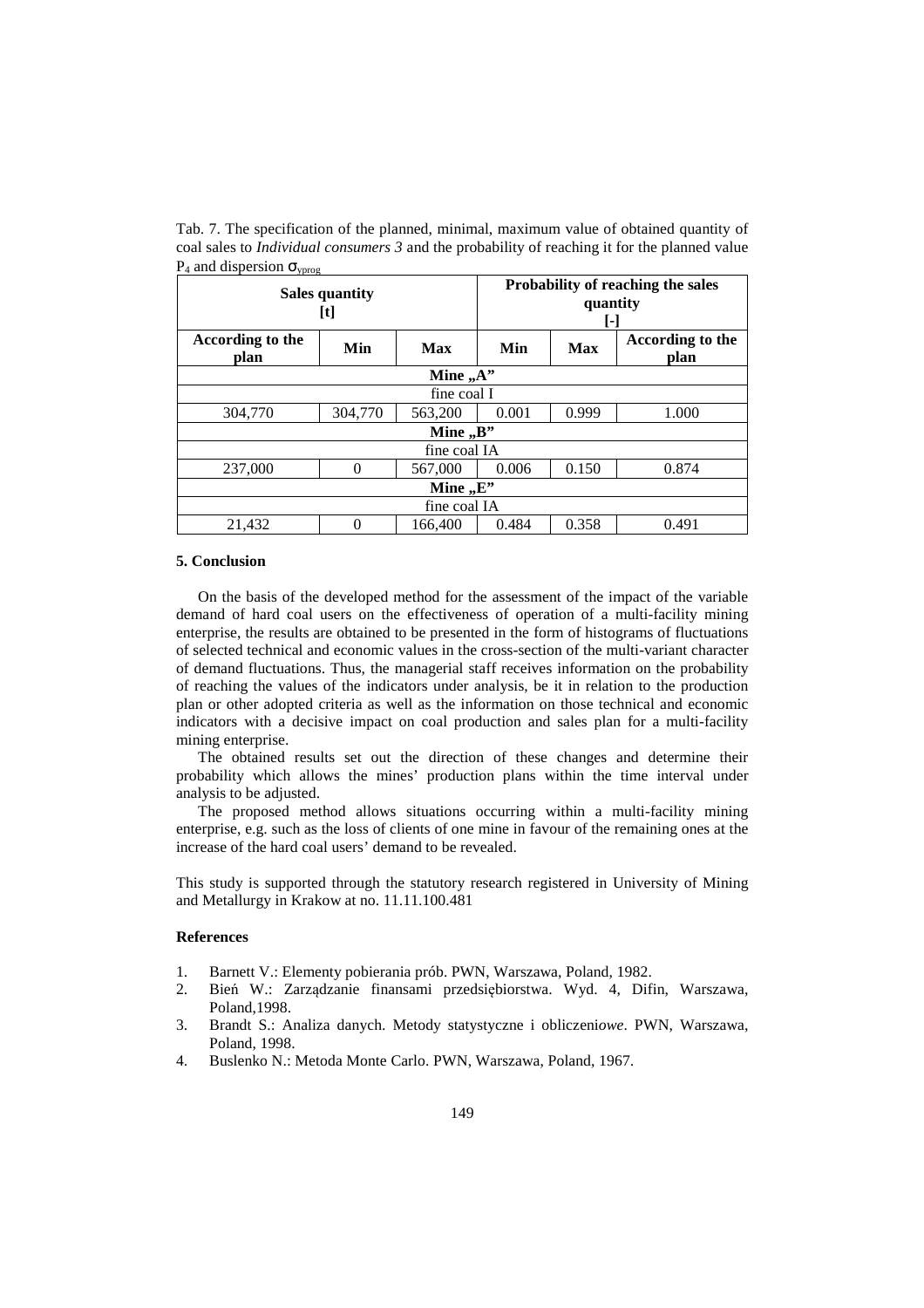Tab. 7. The specification of the planned, minimal, maximum value of obtained quantity of coal sales to *Individual consumers 3* and the probability of reaching it for the planned value  $P_4$  and dispersion  $\sigma_{\text{vprog}}$ 

| <b>Sales quantity</b><br>$[t] % \begin{center} % \includegraphics[width=\linewidth]{imagesSupplemental_3.png} % \end{center} % \caption { % \textit{DefNet} and \textit{DefNet} \textit{DefNet} \textit{DefNet} and \textit{DefNet} \textit{DefNet} \textit{DefNet} \textit{DefNet} \textit{DefNet} \textit{DefNet} \textit{DefNet} \textit{DefNet} \textit{DefNet} \textit{DefNet} \textit{DefNet} \textit{DefNet} \textit{DefNet} \textit{DefNet} \textit{DefNet} \textit{DefNet} \textit{DefNet} \textit{DefNet} \textit{DefNet} \textit{DefNet} \textit{DefNet} \textit{DefNet}$ |              |              | Probability of reaching the sales<br>quantity |       |                          |  |  |  |
|--------------------------------------------------------------------------------------------------------------------------------------------------------------------------------------------------------------------------------------------------------------------------------------------------------------------------------------------------------------------------------------------------------------------------------------------------------------------------------------------------------------------------------------------------------------------------------------|--------------|--------------|-----------------------------------------------|-------|--------------------------|--|--|--|
| According to the<br>plan                                                                                                                                                                                                                                                                                                                                                                                                                                                                                                                                                             | Min          | Max          | Min<br><b>Max</b>                             |       | According to the<br>plan |  |  |  |
|                                                                                                                                                                                                                                                                                                                                                                                                                                                                                                                                                                                      | Mine $, A$ " |              |                                               |       |                          |  |  |  |
| fine coal I                                                                                                                                                                                                                                                                                                                                                                                                                                                                                                                                                                          |              |              |                                               |       |                          |  |  |  |
| 304,770                                                                                                                                                                                                                                                                                                                                                                                                                                                                                                                                                                              | 304,770      | 563,200      | 0.001<br>1.000<br>0.999                       |       |                          |  |  |  |
|                                                                                                                                                                                                                                                                                                                                                                                                                                                                                                                                                                                      |              | Mine $,B$ "  |                                               |       |                          |  |  |  |
|                                                                                                                                                                                                                                                                                                                                                                                                                                                                                                                                                                                      |              | fine coal IA |                                               |       |                          |  |  |  |
| 237,000                                                                                                                                                                                                                                                                                                                                                                                                                                                                                                                                                                              | $\Omega$     | 567,000      | 0.006                                         | 0.150 | 0.874                    |  |  |  |
| Mine $E$ .                                                                                                                                                                                                                                                                                                                                                                                                                                                                                                                                                                           |              |              |                                               |       |                          |  |  |  |
|                                                                                                                                                                                                                                                                                                                                                                                                                                                                                                                                                                                      | fine coal IA |              |                                               |       |                          |  |  |  |
| 21,432                                                                                                                                                                                                                                                                                                                                                                                                                                                                                                                                                                               | 0            | 166,400      | 0.358<br>0.484<br>0.491                       |       |                          |  |  |  |

#### **5. Conclusion**

On the basis of the developed method for the assessment of the impact of the variable demand of hard coal users on the effectiveness of operation of a multi-facility mining enterprise, the results are obtained to be presented in the form of histograms of fluctuations of selected technical and economic values in the cross-section of the multi-variant character of demand fluctuations. Thus, the managerial staff receives information on the probability of reaching the values of the indicators under analysis, be it in relation to the production plan or other adopted criteria as well as the information on those technical and economic indicators with a decisive impact on coal production and sales plan for a multi-facility mining enterprise.

The obtained results set out the direction of these changes and determine their probability which allows the mines' production plans within the time interval under analysis to be adjusted.

The proposed method allows situations occurring within a multi-facility mining enterprise, e.g. such as the loss of clients of one mine in favour of the remaining ones at the increase of the hard coal users' demand to be revealed.

This study is supported through the statutory research registered in University of Mining and Metallurgy in Krakow at no. 11.11.100.481

#### **References**

- 1. Barnett V.: Elementy pobierania prób. PWN, Warszawa, Poland, 1982.
- 2. Bień W.: Zarządzanie finansami przedsiębiorstwa. Wyd. 4, Difin, Warszawa, Poland,1998.
- 3. Brandt S.: Analiza danych. Metody statystyczne i obliczeni*owe*. PWN, Warszawa, Poland, 1998.
- 4. Buslenko N.: Metoda Monte Carlo. PWN, Warszawa, Poland, 1967.